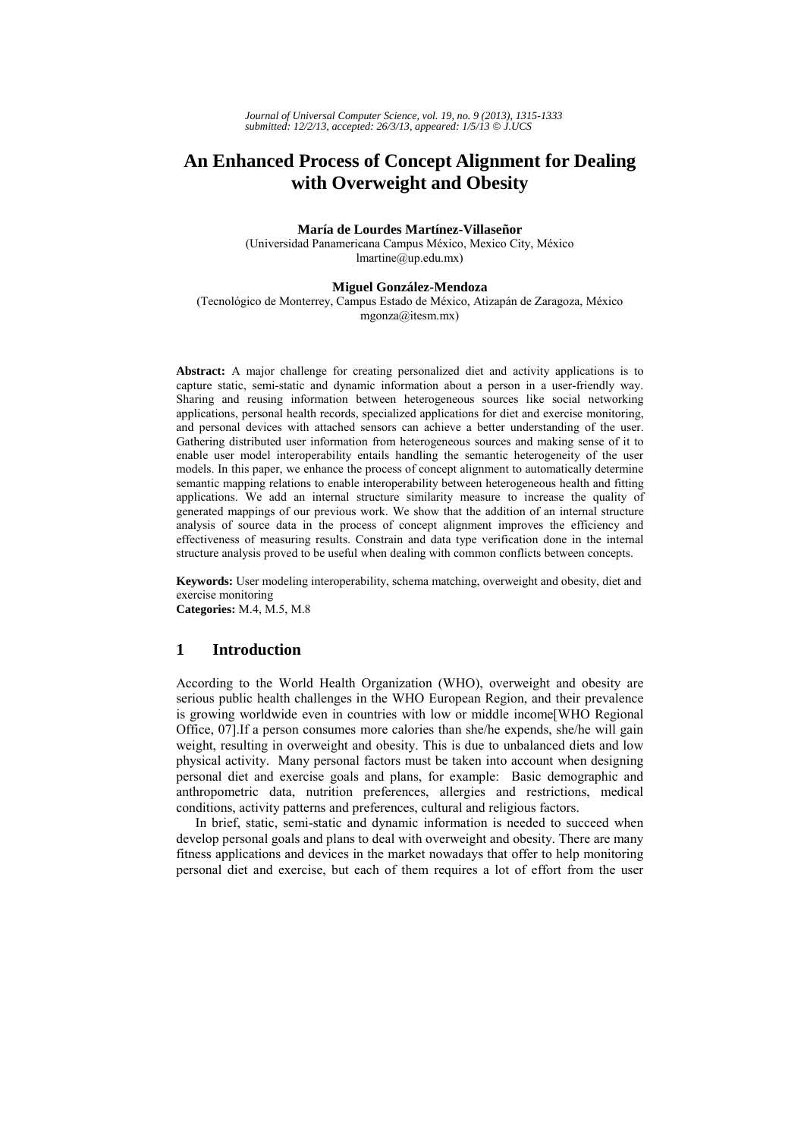# **An Enhanced Process of Concept Alignment for Dealing with Overweight and Obesity**

**María de Lourdes Martínez-Villaseñor** 

(Universidad Panamericana Campus México, Mexico City, México lmartine@up.edu.mx)

#### **Miguel González-Mendoza**

(Tecnológico de Monterrey, Campus Estado de México, Atizapán de Zaragoza, México mgonza@itesm.mx)

**Abstract:** A major challenge for creating personalized diet and activity applications is to capture static, semi-static and dynamic information about a person in a user-friendly way. Sharing and reusing information between heterogeneous sources like social networking applications, personal health records, specialized applications for diet and exercise monitoring, and personal devices with attached sensors can achieve a better understanding of the user. Gathering distributed user information from heterogeneous sources and making sense of it to enable user model interoperability entails handling the semantic heterogeneity of the user models. In this paper, we enhance the process of concept alignment to automatically determine semantic mapping relations to enable interoperability between heterogeneous health and fitting applications. We add an internal structure similarity measure to increase the quality of generated mappings of our previous work. We show that the addition of an internal structure analysis of source data in the process of concept alignment improves the efficiency and effectiveness of measuring results. Constrain and data type verification done in the internal structure analysis proved to be useful when dealing with common conflicts between concepts.

**Keywords:** User modeling interoperability, schema matching, overweight and obesity, diet and exercise monitoring **Categories:** M.4, M.5, M.8

# **1 Introduction**

According to the World Health Organization (WHO), overweight and obesity are serious public health challenges in the WHO European Region, and their prevalence is growing worldwide even in countries with low or middle income[WHO Regional Office, 07].If a person consumes more calories than she/he expends, she/he will gain weight, resulting in overweight and obesity. This is due to unbalanced diets and low physical activity. Many personal factors must be taken into account when designing personal diet and exercise goals and plans, for example: Basic demographic and anthropometric data, nutrition preferences, allergies and restrictions, medical conditions, activity patterns and preferences, cultural and religious factors.

In brief, static, semi-static and dynamic information is needed to succeed when develop personal goals and plans to deal with overweight and obesity. There are many fitness applications and devices in the market nowadays that offer to help monitoring personal diet and exercise, but each of them requires a lot of effort from the user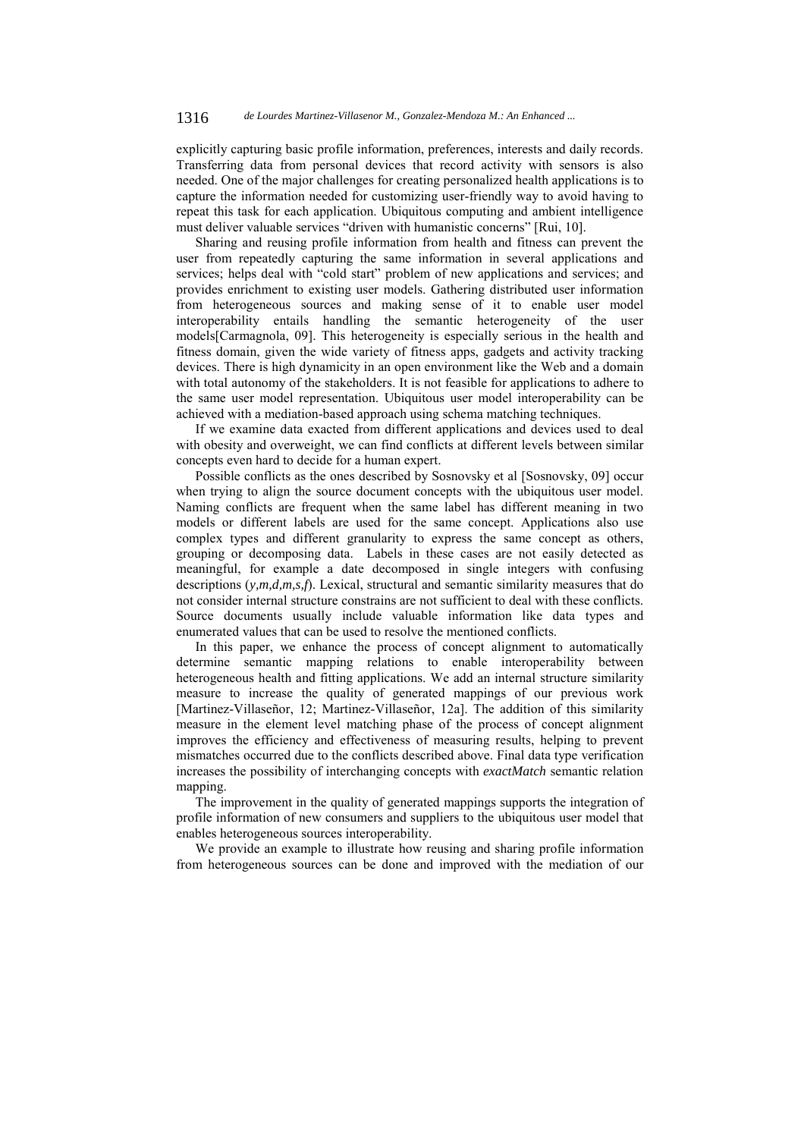explicitly capturing basic profile information, preferences, interests and daily records. Transferring data from personal devices that record activity with sensors is also needed. One of the major challenges for creating personalized health applications is to capture the information needed for customizing user-friendly way to avoid having to repeat this task for each application. Ubiquitous computing and ambient intelligence must deliver valuable services "driven with humanistic concerns" [Rui, 10].

Sharing and reusing profile information from health and fitness can prevent the user from repeatedly capturing the same information in several applications and services; helps deal with "cold start" problem of new applications and services; and provides enrichment to existing user models. Gathering distributed user information from heterogeneous sources and making sense of it to enable user model interoperability entails handling the semantic heterogeneity of the user models[Carmagnola, 09]. This heterogeneity is especially serious in the health and fitness domain, given the wide variety of fitness apps, gadgets and activity tracking devices. There is high dynamicity in an open environment like the Web and a domain with total autonomy of the stakeholders. It is not feasible for applications to adhere to the same user model representation. Ubiquitous user model interoperability can be achieved with a mediation-based approach using schema matching techniques.

If we examine data exacted from different applications and devices used to deal with obesity and overweight, we can find conflicts at different levels between similar concepts even hard to decide for a human expert.

Possible conflicts as the ones described by Sosnovsky et al [Sosnovsky, 09] occur when trying to align the source document concepts with the ubiquitous user model. Naming conflicts are frequent when the same label has different meaning in two models or different labels are used for the same concept. Applications also use complex types and different granularity to express the same concept as others, grouping or decomposing data. Labels in these cases are not easily detected as meaningful, for example a date decomposed in single integers with confusing descriptions (*y,m,d,m,s,f*). Lexical, structural and semantic similarity measures that do not consider internal structure constrains are not sufficient to deal with these conflicts. Source documents usually include valuable information like data types and enumerated values that can be used to resolve the mentioned conflicts.

In this paper, we enhance the process of concept alignment to automatically determine semantic mapping relations to enable interoperability between heterogeneous health and fitting applications. We add an internal structure similarity measure to increase the quality of generated mappings of our previous work [Martinez-Villaseñor, 12; Martinez-Villaseñor, 12a]. The addition of this similarity measure in the element level matching phase of the process of concept alignment improves the efficiency and effectiveness of measuring results, helping to prevent mismatches occurred due to the conflicts described above. Final data type verification increases the possibility of interchanging concepts with *exactMatch* semantic relation mapping.

The improvement in the quality of generated mappings supports the integration of profile information of new consumers and suppliers to the ubiquitous user model that enables heterogeneous sources interoperability.

We provide an example to illustrate how reusing and sharing profile information from heterogeneous sources can be done and improved with the mediation of our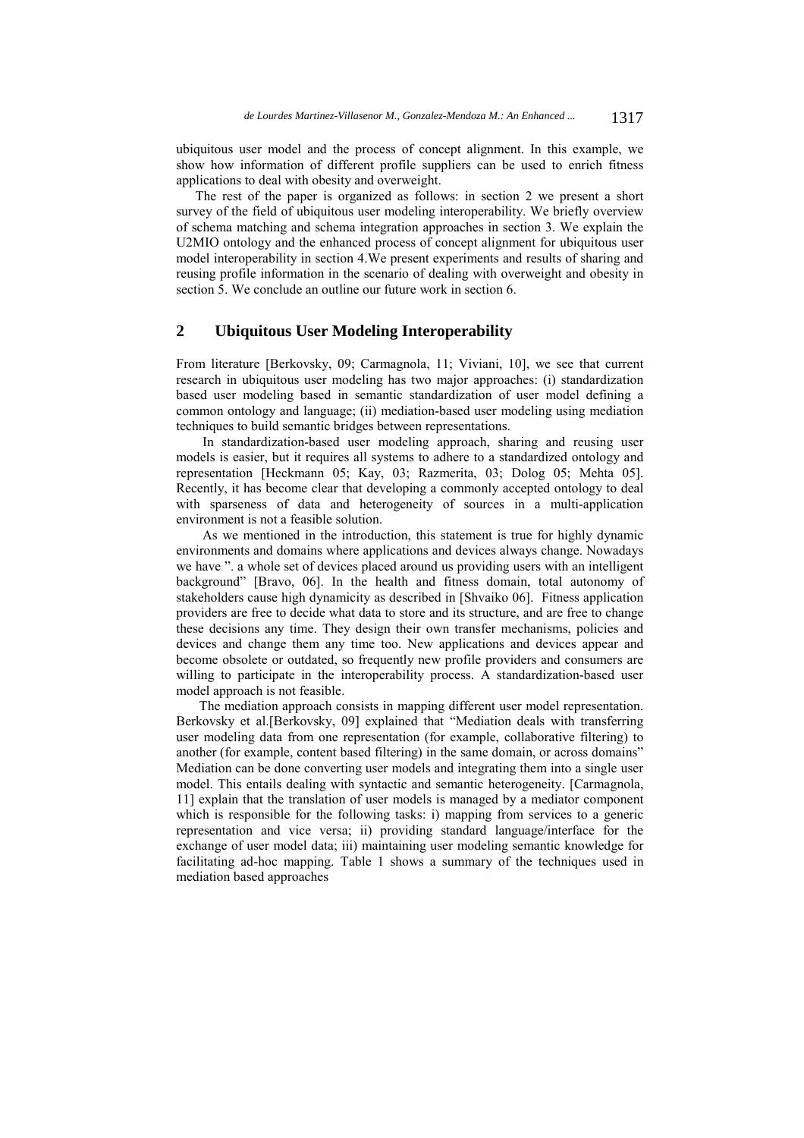ubiquitous user model and the process of concept alignment. In this example, we show how information of different profile suppliers can be used to enrich fitness applications to deal with obesity and overweight.

The rest of the paper is organized as follows: in section 2 we present a short survey of the field of ubiquitous user modeling interoperability. We briefly overview of schema matching and schema integration approaches in section 3. We explain the U2MIO ontology and the enhanced process of concept alignment for ubiquitous user model interoperability in section 4.We present experiments and results of sharing and reusing profile information in the scenario of dealing with overweight and obesity in section 5. We conclude an outline our future work in section 6.

# **2 Ubiquitous User Modeling Interoperability**

From literature [Berkovsky, 09; Carmagnola, 11; Viviani, 10], we see that current research in ubiquitous user modeling has two major approaches: (i) standardization based user modeling based in semantic standardization of user model defining a common ontology and language; (ii) mediation-based user modeling using mediation techniques to build semantic bridges between representations.

 In standardization-based user modeling approach, sharing and reusing user models is easier, but it requires all systems to adhere to a standardized ontology and representation [Heckmann 05; Kay, 03; Razmerita, 03; Dolog 05; Mehta 05]. Recently, it has become clear that developing a commonly accepted ontology to deal with sparseness of data and heterogeneity of sources in a multi-application environment is not a feasible solution.

 As we mentioned in the introduction, this statement is true for highly dynamic environments and domains where applications and devices always change. Nowadays we have ". a whole set of devices placed around us providing users with an intelligent background" [Bravo, 06]. In the health and fitness domain, total autonomy of stakeholders cause high dynamicity as described in [Shvaiko 06]. Fitness application providers are free to decide what data to store and its structure, and are free to change these decisions any time. They design their own transfer mechanisms, policies and devices and change them any time too. New applications and devices appear and become obsolete or outdated, so frequently new profile providers and consumers are willing to participate in the interoperability process. A standardization-based user model approach is not feasible.

The mediation approach consists in mapping different user model representation. Berkovsky et al.[Berkovsky, 09] explained that "Mediation deals with transferring user modeling data from one representation (for example, collaborative filtering) to another (for example, content based filtering) in the same domain, or across domains" Mediation can be done converting user models and integrating them into a single user model. This entails dealing with syntactic and semantic heterogeneity. [Carmagnola, 11] explain that the translation of user models is managed by a mediator component which is responsible for the following tasks: i) mapping from services to a generic representation and vice versa; ii) providing standard language/interface for the exchange of user model data; iii) maintaining user modeling semantic knowledge for facilitating ad-hoc mapping. Table 1 shows a summary of the techniques used in mediation based approaches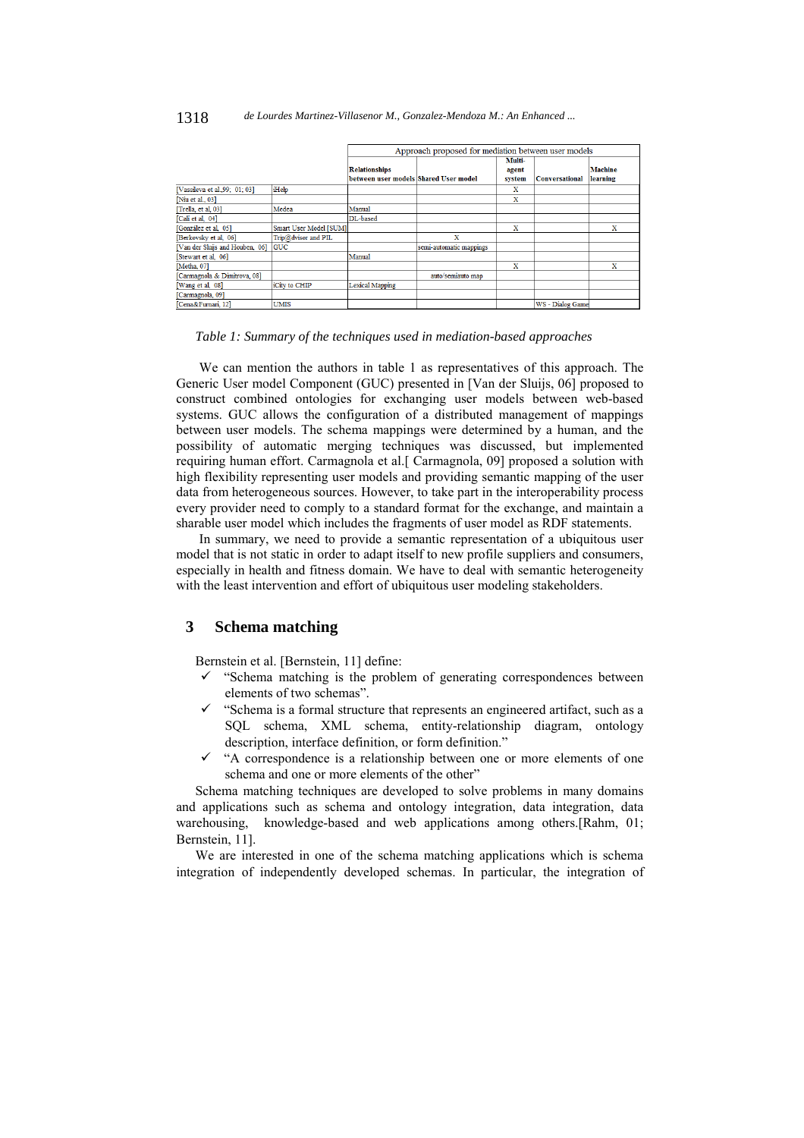|                                 |                        | Approach proposed for mediation between user models |                         |                 |                       |                |
|---------------------------------|------------------------|-----------------------------------------------------|-------------------------|-----------------|-----------------------|----------------|
|                                 |                        | <b>Relationships</b>                                |                         | Multi-<br>agent |                       | <b>Machine</b> |
|                                 |                        | between user models Shared User model               |                         | system          | <b>Conversational</b> | learning       |
| [Vassileva et al., 99; 01; 03]  | iHelp                  |                                                     |                         | x               |                       |                |
| [Niu et al., 03]                |                        |                                                     |                         | x               |                       |                |
| [Trella, et al, 03]             | Medea                  | Manual                                              |                         |                 |                       |                |
| [Cali et al, 04]                |                        | DL-based                                            |                         |                 |                       |                |
| [González et al. 05]            | Smart User Model [SUM] |                                                     |                         | x               |                       | x              |
| [Berkovsky et al, 06]           | Trip@dvisor and PIL    |                                                     | x                       |                 |                       |                |
| [Van der Sluijs and Houben, 06] | <b>GUC</b>             |                                                     | semi-automatic mappings |                 |                       |                |
| [Stewart et al. 06]             |                        | Manual                                              |                         |                 |                       |                |
| [Metha, 07]                     |                        |                                                     |                         | x               |                       | x              |
| [Carmagnola & Dimitrova, 08]    |                        |                                                     | auto/semiauto map       |                 |                       |                |
| [Wang et al, 08]                | iCity to CHIP          | <b>Lexical Mapping</b>                              |                         |                 |                       |                |
| [Carmagnola, 09]                |                        |                                                     |                         |                 |                       |                |
| [Cena&Furnari 12]               | <b>UMIS</b>            |                                                     |                         |                 | WS - Dialog Game      |                |

### *Table 1: Summary of the techniques used in mediation-based approaches*

We can mention the authors in table 1 as representatives of this approach. The Generic User model Component (GUC) presented in [Van der Sluijs, 06] proposed to construct combined ontologies for exchanging user models between web-based systems. GUC allows the configuration of a distributed management of mappings between user models. The schema mappings were determined by a human, and the possibility of automatic merging techniques was discussed, but implemented requiring human effort. Carmagnola et al.[ Carmagnola, 09] proposed a solution with high flexibility representing user models and providing semantic mapping of the user data from heterogeneous sources. However, to take part in the interoperability process every provider need to comply to a standard format for the exchange, and maintain a sharable user model which includes the fragments of user model as RDF statements.

In summary, we need to provide a semantic representation of a ubiquitous user model that is not static in order to adapt itself to new profile suppliers and consumers, especially in health and fitness domain. We have to deal with semantic heterogeneity with the least intervention and effort of ubiquitous user modeling stakeholders.

# **3 Schema matching**

Bernstein et al. [Bernstein, 11] define:

- $\checkmark$  "Schema matching is the problem of generating correspondences between elements of two schemas".
- "Schema is a formal structure that represents an engineered artifact, such as a SQL schema, XML schema, entity-relationship diagram, ontology description, interface definition, or form definition."
- "A correspondence is a relationship between one or more elements of one schema and one or more elements of the other"

Schema matching techniques are developed to solve problems in many domains and applications such as schema and ontology integration, data integration, data warehousing, knowledge-based and web applications among others.[Rahm, 01; Bernstein, 11].

We are interested in one of the schema matching applications which is schema integration of independently developed schemas. In particular, the integration of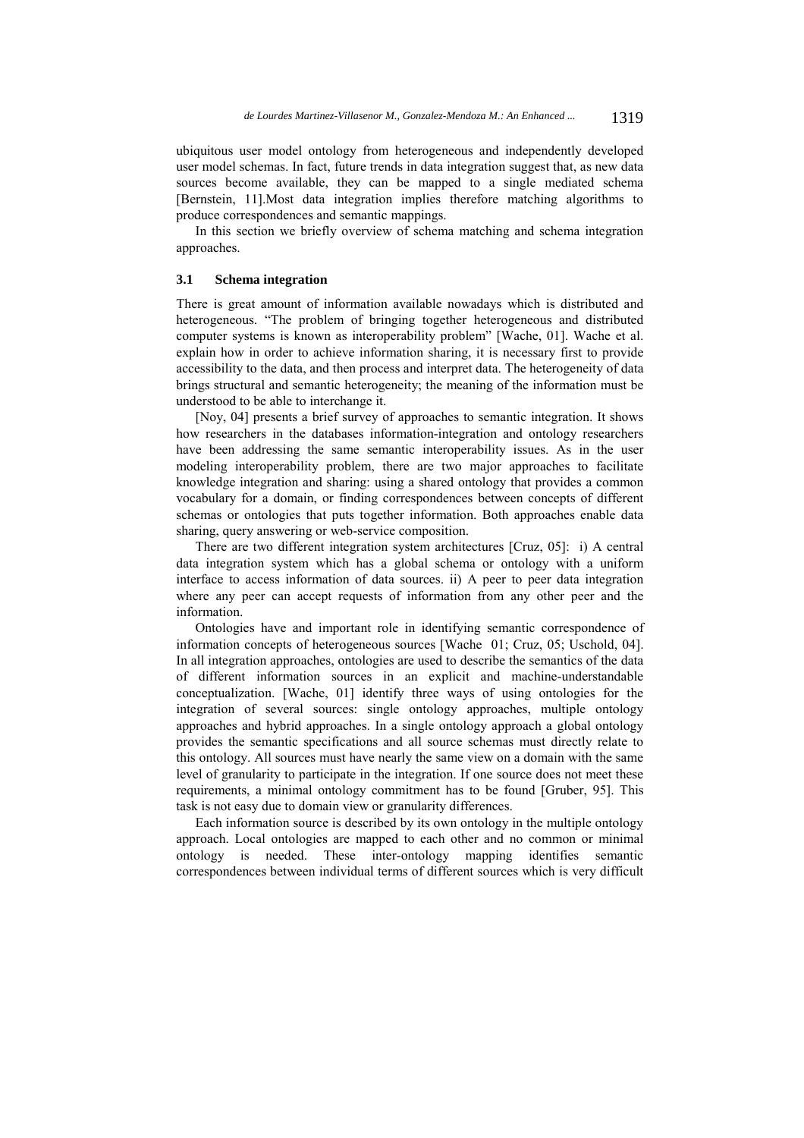ubiquitous user model ontology from heterogeneous and independently developed user model schemas. In fact, future trends in data integration suggest that, as new data sources become available, they can be mapped to a single mediated schema [Bernstein, 11].Most data integration implies therefore matching algorithms to produce correspondences and semantic mappings.

In this section we briefly overview of schema matching and schema integration approaches.

### **3.1 Schema integration**

There is great amount of information available nowadays which is distributed and heterogeneous. "The problem of bringing together heterogeneous and distributed computer systems is known as interoperability problem" [Wache, 01]. Wache et al. explain how in order to achieve information sharing, it is necessary first to provide accessibility to the data, and then process and interpret data. The heterogeneity of data brings structural and semantic heterogeneity; the meaning of the information must be understood to be able to interchange it.

[Noy, 04] presents a brief survey of approaches to semantic integration. It shows how researchers in the databases information-integration and ontology researchers have been addressing the same semantic interoperability issues. As in the user modeling interoperability problem, there are two major approaches to facilitate knowledge integration and sharing: using a shared ontology that provides a common vocabulary for a domain, or finding correspondences between concepts of different schemas or ontologies that puts together information. Both approaches enable data sharing, query answering or web-service composition.

There are two different integration system architectures [Cruz, 05]: i) A central data integration system which has a global schema or ontology with a uniform interface to access information of data sources. ii) A peer to peer data integration where any peer can accept requests of information from any other peer and the information.

Ontologies have and important role in identifying semantic correspondence of information concepts of heterogeneous sources [Wache 01; Cruz, 05; Uschold, 04]. In all integration approaches, ontologies are used to describe the semantics of the data of different information sources in an explicit and machine-understandable conceptualization. [Wache, 01] identify three ways of using ontologies for the integration of several sources: single ontology approaches, multiple ontology approaches and hybrid approaches. In a single ontology approach a global ontology provides the semantic specifications and all source schemas must directly relate to this ontology. All sources must have nearly the same view on a domain with the same level of granularity to participate in the integration. If one source does not meet these requirements, a minimal ontology commitment has to be found [Gruber, 95]. This task is not easy due to domain view or granularity differences.

Each information source is described by its own ontology in the multiple ontology approach. Local ontologies are mapped to each other and no common or minimal ontology is needed. These inter-ontology mapping identifies semantic correspondences between individual terms of different sources which is very difficult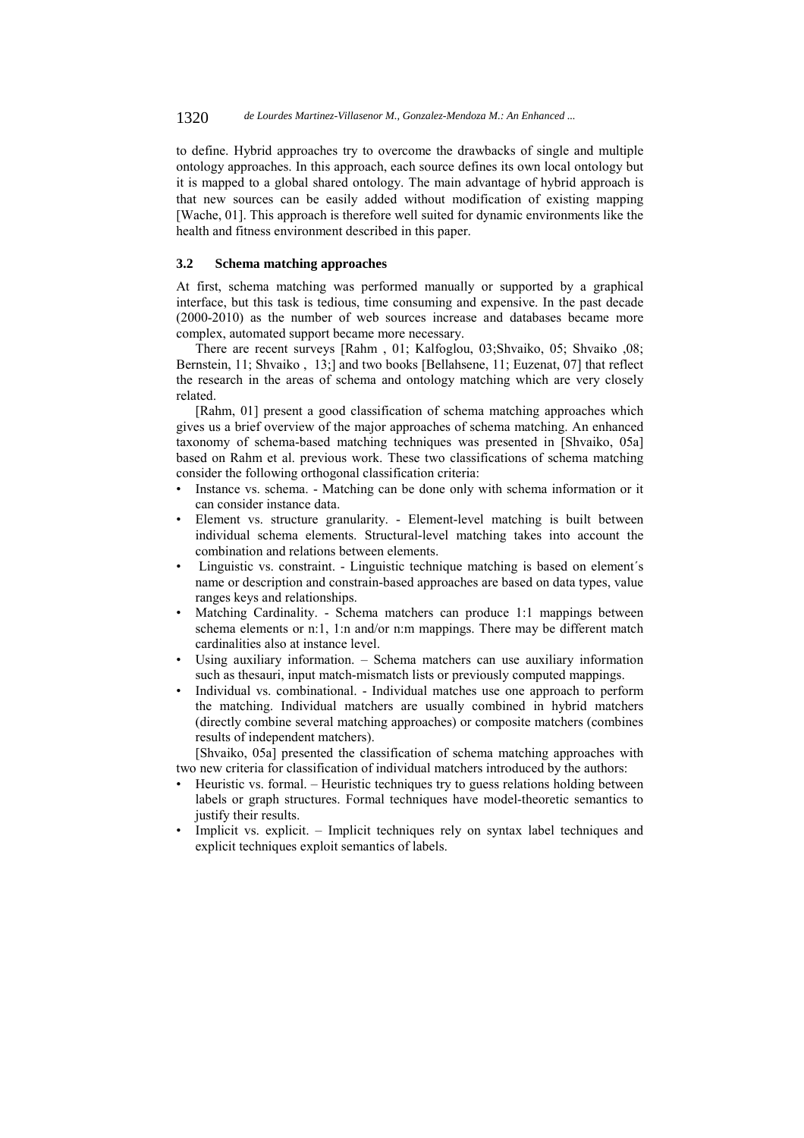to define. Hybrid approaches try to overcome the drawbacks of single and multiple ontology approaches. In this approach, each source defines its own local ontology but it is mapped to a global shared ontology. The main advantage of hybrid approach is that new sources can be easily added without modification of existing mapping [Wache, 01]. This approach is therefore well suited for dynamic environments like the health and fitness environment described in this paper.

## **3.2 Schema matching approaches**

At first, schema matching was performed manually or supported by a graphical interface, but this task is tedious, time consuming and expensive. In the past decade (2000-2010) as the number of web sources increase and databases became more complex, automated support became more necessary.

There are recent surveys [Rahm , 01; Kalfoglou, 03;Shvaiko, 05; Shvaiko ,08; Bernstein, 11; Shvaiko , 13;] and two books [Bellahsene, 11; Euzenat, 07] that reflect the research in the areas of schema and ontology matching which are very closely related.

[Rahm, 01] present a good classification of schema matching approaches which gives us a brief overview of the major approaches of schema matching. An enhanced taxonomy of schema-based matching techniques was presented in [Shvaiko, 05a] based on Rahm et al. previous work. These two classifications of schema matching consider the following orthogonal classification criteria:

- Instance vs. schema. Matching can be done only with schema information or it can consider instance data.
- Element vs. structure granularity. Element-level matching is built between individual schema elements. Structural-level matching takes into account the combination and relations between elements.
- Linguistic vs. constraint. Linguistic technique matching is based on element´s name or description and constrain-based approaches are based on data types, value ranges keys and relationships.
- Matching Cardinality. Schema matchers can produce 1:1 mappings between schema elements or n:1, 1:n and/or n:m mappings. There may be different match cardinalities also at instance level.
- Using auxiliary information.  $-$  Schema matchers can use auxiliary information such as thesauri, input match-mismatch lists or previously computed mappings.
- Individual vs. combinational. Individual matches use one approach to perform the matching. Individual matchers are usually combined in hybrid matchers (directly combine several matching approaches) or composite matchers (combines results of independent matchers).

[Shvaiko, 05a] presented the classification of schema matching approaches with two new criteria for classification of individual matchers introduced by the authors:

- Heuristic vs. formal. Heuristic techniques try to guess relations holding between labels or graph structures. Formal techniques have model-theoretic semantics to justify their results.
- Implicit vs. explicit. Implicit techniques rely on syntax label techniques and explicit techniques exploit semantics of labels.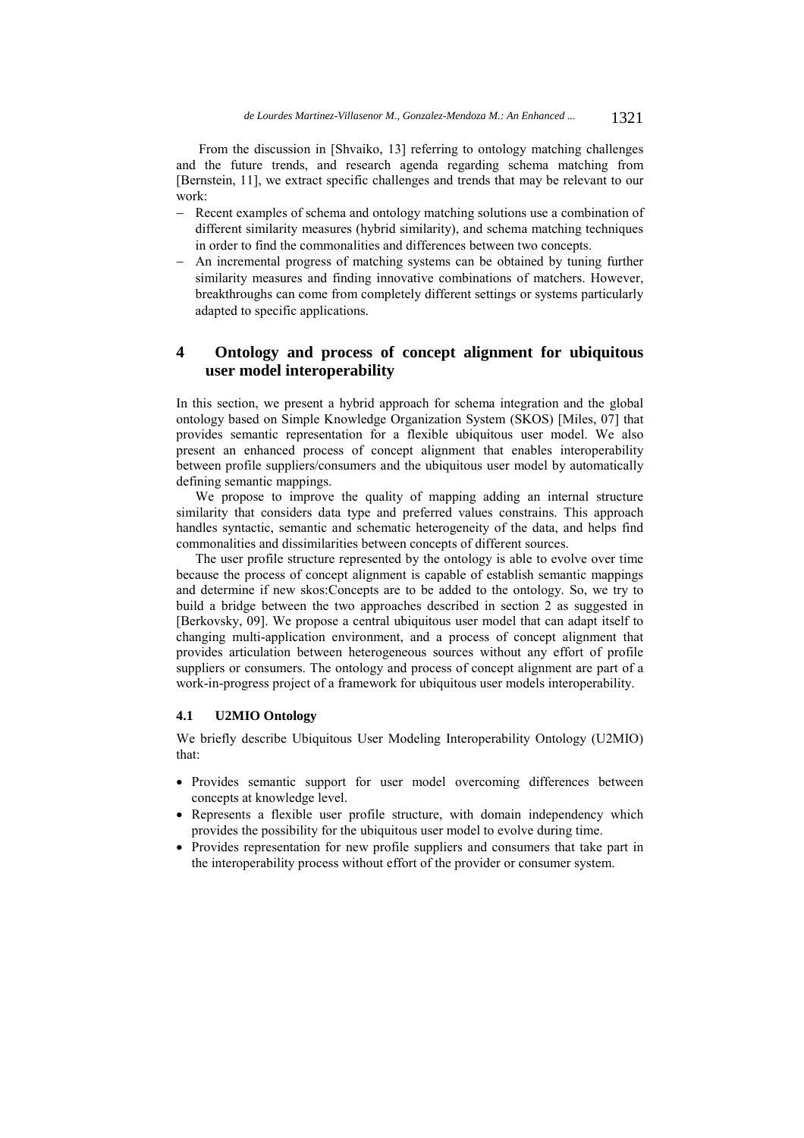From the discussion in [Shvaiko, 13] referring to ontology matching challenges and the future trends, and research agenda regarding schema matching from [Bernstein, 11], we extract specific challenges and trends that may be relevant to our work:

- Recent examples of schema and ontology matching solutions use a combination of different similarity measures (hybrid similarity), and schema matching techniques in order to find the commonalities and differences between two concepts.
- An incremental progress of matching systems can be obtained by tuning further similarity measures and finding innovative combinations of matchers. However, breakthroughs can come from completely different settings or systems particularly adapted to specific applications.

# **4 Ontology and process of concept alignment for ubiquitous user model interoperability**

In this section, we present a hybrid approach for schema integration and the global ontology based on Simple Knowledge Organization System (SKOS) [Miles, 07] that provides semantic representation for a flexible ubiquitous user model. We also present an enhanced process of concept alignment that enables interoperability between profile suppliers/consumers and the ubiquitous user model by automatically defining semantic mappings.

We propose to improve the quality of mapping adding an internal structure similarity that considers data type and preferred values constrains. This approach handles syntactic, semantic and schematic heterogeneity of the data, and helps find commonalities and dissimilarities between concepts of different sources.

The user profile structure represented by the ontology is able to evolve over time because the process of concept alignment is capable of establish semantic mappings and determine if new skos:Concepts are to be added to the ontology. So, we try to build a bridge between the two approaches described in section 2 as suggested in [Berkovsky, 09]. We propose a central ubiquitous user model that can adapt itself to changing multi-application environment, and a process of concept alignment that provides articulation between heterogeneous sources without any effort of profile suppliers or consumers. The ontology and process of concept alignment are part of a work-in-progress project of a framework for ubiquitous user models interoperability.

### **4.1 U2MIO Ontology**

We briefly describe Ubiquitous User Modeling Interoperability Ontology (U2MIO) that:

- Provides semantic support for user model overcoming differences between concepts at knowledge level.
- Represents a flexible user profile structure, with domain independency which provides the possibility for the ubiquitous user model to evolve during time.
- Provides representation for new profile suppliers and consumers that take part in the interoperability process without effort of the provider or consumer system.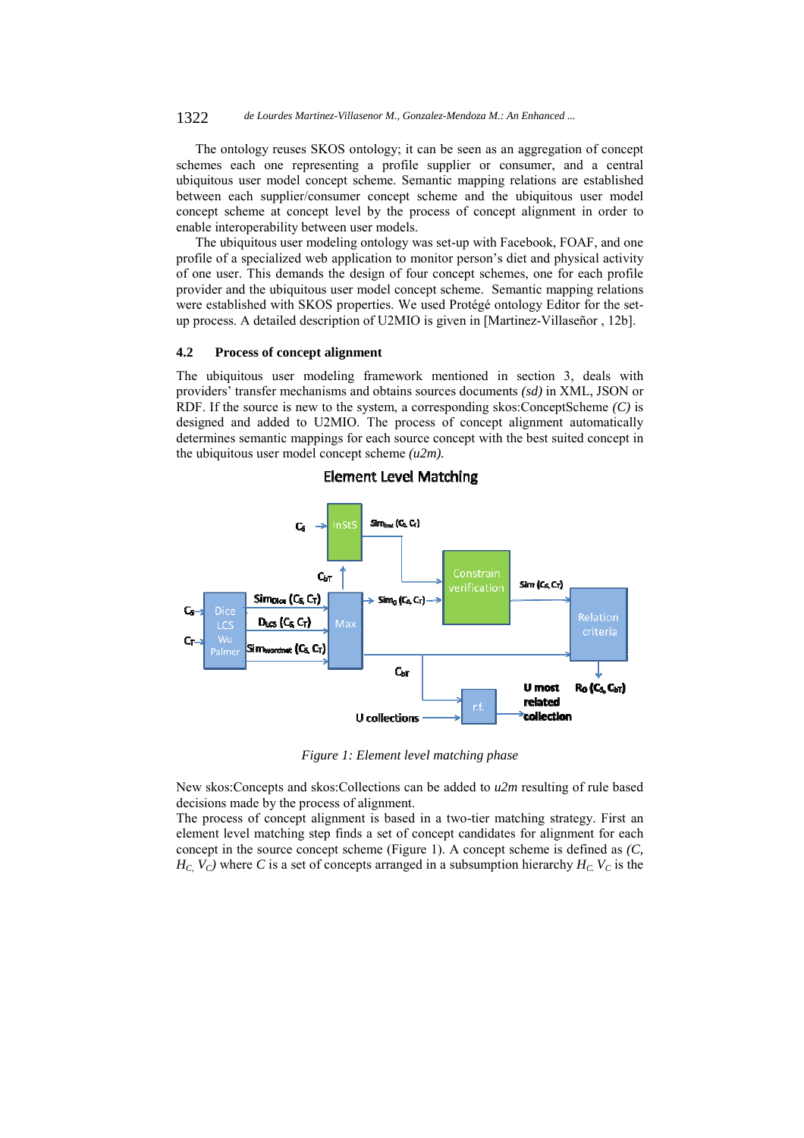The ontology reuses SKOS ontology; it can be seen as an aggregation of concept schemes each one representing a profile supplier or consumer, and a central ubiquitous user model concept scheme. Semantic mapping relations are established between each supplier/consumer concept scheme and the ubiquitous user model concept scheme at concept level by the process of concept alignment in order to enable interoperability between user models.

The ubiquitous user modeling ontology was set-up with Facebook, FOAF, and one profile of a specialized web application to monitor person's diet and physical activity of one user. This demands the design of four concept schemes, one for each profile provider and the ubiquitous user model concept scheme. Semantic mapping relations were established with SKOS properties. We used Protégé ontology Editor for the setup process. A detailed description of U2MIO is given in [Martinez-Villaseñor , 12b].

#### **4.2 Process of concept alignment**

The ubiquitous user modeling framework mentioned in section 3, deals with providers' transfer mechanisms and obtains sources documents *(sd)* in XML, JSON or RDF. If the source is new to the system, a corresponding skos:ConceptScheme *(C)* is designed and added to U2MIO. The process of concept alignment automatically determines semantic mappings for each source concept with the best suited concept in the ubiquitous user model concept scheme *(u2m).*



## **Element Level Matching**

*Figure 1: Element level matching phase* 

New skos:Concepts and skos:Collections can be added to *u2m* resulting of rule based decisions made by the process of alignment.

The process of concept alignment is based in a two-tier matching strategy. First an element level matching step finds a set of concept candidates for alignment for each concept in the source concept scheme (Figure 1). A concept scheme is defined as *(C,*   $H_C$ ,  $V_C$ ) where *C* is a set of concepts arranged in a subsumption hierarchy  $H_C$ ,  $V_C$  is the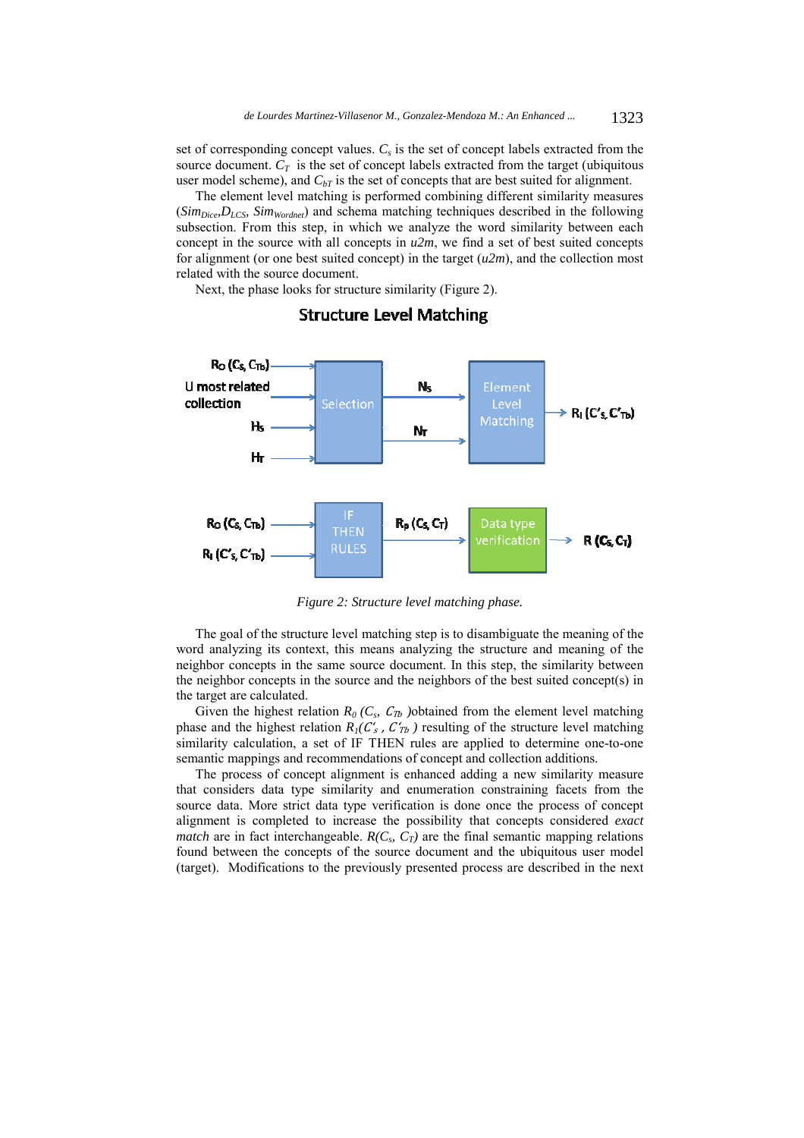set of corresponding concept values. *Cs* is the set of concept labels extracted from the source document.  $C_T$  is the set of concept labels extracted from the target (ubiquitous user model scheme), and  $C_{bT}$  is the set of concepts that are best suited for alignment.

The element level matching is performed combining different similarity measures (*SimDice,DLCS, SimWordnet*) and schema matching techniques described in the following subsection. From this step, in which we analyze the word similarity between each concept in the source with all concepts in *u2m*, we find a set of best suited concepts for alignment (or one best suited concept) in the target (*u2m*), and the collection most related with the source document.

Next, the phase looks for structure similarity (Figure 2).



# **Structure Level Matching**

*Figure 2: Structure level matching phase.* 

The goal of the structure level matching step is to disambiguate the meaning of the word analyzing its context, this means analyzing the structure and meaning of the neighbor concepts in the same source document. In this step, the similarity between the neighbor concepts in the source and the neighbors of the best suited concept(s) in the target are calculated.

Given the highest relation  $R_0$  ( $C_s$ ,  $C_{Tb}$ ) obtained from the element level matching phase and the highest relation  $R_1(C'_s, C'_{Tb})$  resulting of the structure level matching similarity calculation, a set of IF THEN rules are applied to determine one-to-one semantic mappings and recommendations of concept and collection additions.

The process of concept alignment is enhanced adding a new similarity measure that considers data type similarity and enumeration constraining facets from the source data. More strict data type verification is done once the process of concept alignment is completed to increase the possibility that concepts considered *exact match* are in fact interchangeable.  $R(C_s, C_T)$  are the final semantic mapping relations found between the concepts of the source document and the ubiquitous user model (target). Modifications to the previously presented process are described in the next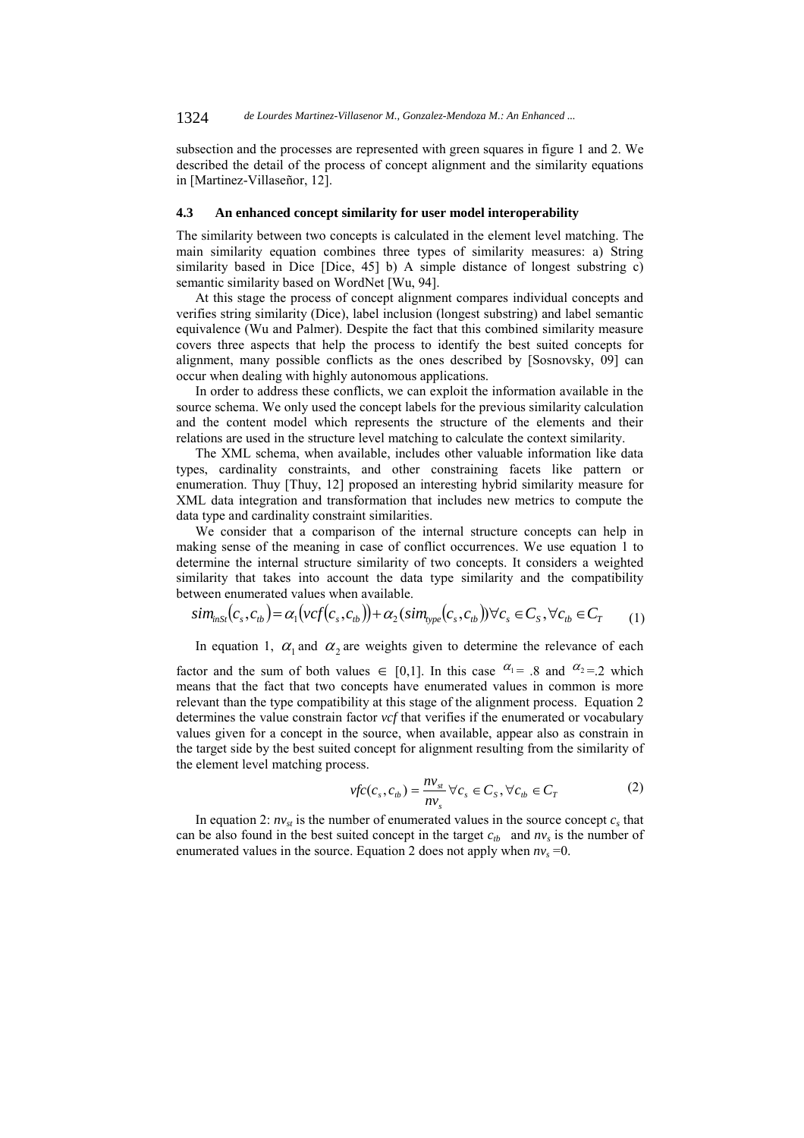subsection and the processes are represented with green squares in figure 1 and 2. We described the detail of the process of concept alignment and the similarity equations in [Martinez-Villaseñor, 12].

#### **4.3 An enhanced concept similarity for user model interoperability**

The similarity between two concepts is calculated in the element level matching. The main similarity equation combines three types of similarity measures: a) String similarity based in Dice [Dice, 45] b) A simple distance of longest substring c) semantic similarity based on WordNet [Wu, 94].

At this stage the process of concept alignment compares individual concepts and verifies string similarity (Dice), label inclusion (longest substring) and label semantic equivalence (Wu and Palmer). Despite the fact that this combined similarity measure covers three aspects that help the process to identify the best suited concepts for alignment, many possible conflicts as the ones described by [Sosnovsky, 09] can occur when dealing with highly autonomous applications.

In order to address these conflicts, we can exploit the information available in the source schema. We only used the concept labels for the previous similarity calculation and the content model which represents the structure of the elements and their relations are used in the structure level matching to calculate the context similarity.

The XML schema, when available, includes other valuable information like data types, cardinality constraints, and other constraining facets like pattern or enumeration. Thuy [Thuy, 12] proposed an interesting hybrid similarity measure for XML data integration and transformation that includes new metrics to compute the data type and cardinality constraint similarities.

We consider that a comparison of the internal structure concepts can help in making sense of the meaning in case of conflict occurrences. We use equation 1 to determine the internal structure similarity of two concepts. It considers a weighted similarity that takes into account the data type similarity and the compatibility between enumerated values when available.

$$
sim_{inst}(c_s, c_{tb}) = \alpha_1(vcf(c_s, c_{tb})) + \alpha_2(sim_{type}(c_s, c_{tb})) \forall c_s \in C_S, \forall c_{tb} \in C_T
$$
 (1)

In equation 1,  $\alpha_1$  and  $\alpha_2$  are weights given to determine the relevance of each

factor and the sum of both values  $\in [0,1]$ . In this case  $\alpha_1 = 0.8$  and  $\alpha_2 = 0.2$  which means that the fact that two concepts have enumerated values in common is more relevant than the type compatibility at this stage of the alignment process. Equation 2 determines the value constrain factor *vcf* that verifies if the enumerated or vocabulary values given for a concept in the source, when available, appear also as constrain in the target side by the best suited concept for alignment resulting from the similarity of the element level matching process.

$$
vfc(c_s, c_{tb}) = \frac{nv_{st}}{nv_s} \,\forall c_s \in C_s, \forall c_{tb} \in C_T
$$
 (2)

In equation 2:  $nv_{st}$  is the number of enumerated values in the source concept  $c_s$  that can be also found in the best suited concept in the target  $c_{tb}$  and  $nv_s$  is the number of enumerated values in the source. Equation 2 does not apply when  $nv_s = 0$ .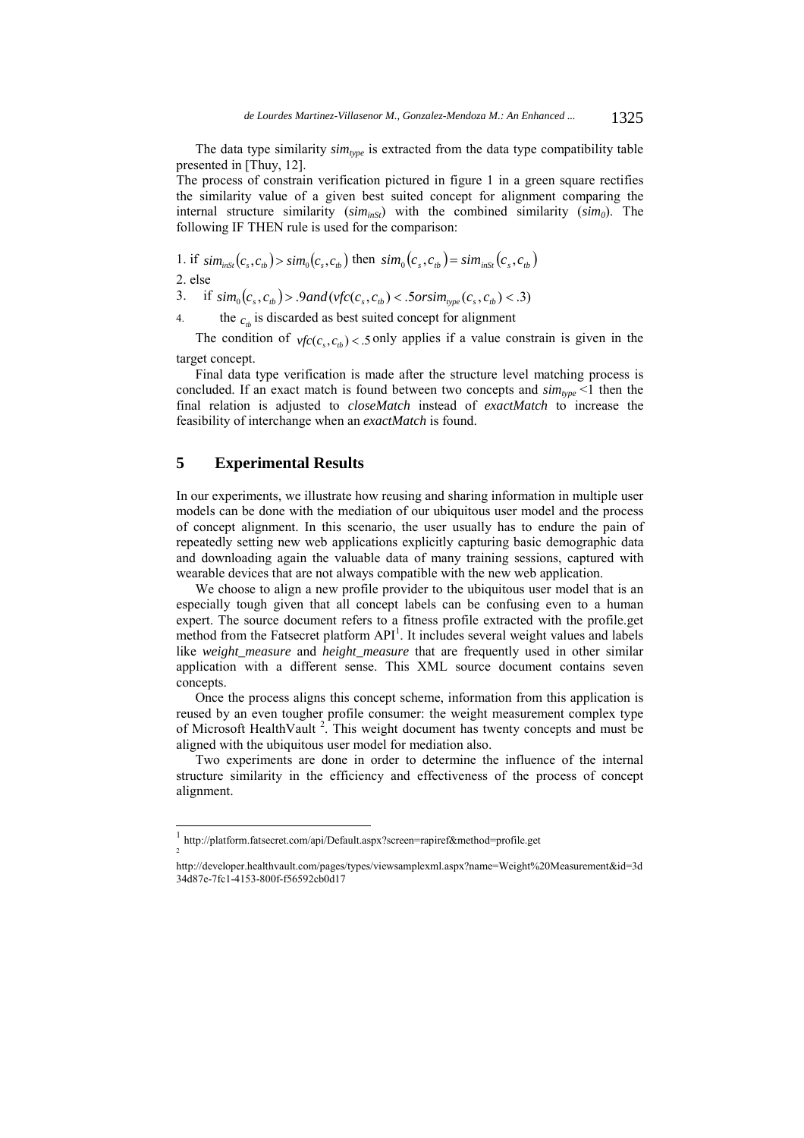The data type similarity  $sim_{type}$  is extracted from the data type compatibility table presented in [Thuy, 12].

The process of constrain verification pictured in figure 1 in a green square rectifies the similarity value of a given best suited concept for alignment comparing the internal structure similarity  $(sim_{ins})$  with the combined similarity  $(sim_0)$ . The following IF THEN rule is used for the comparison:

1. if  $\sin_{ins} (c_s, c_{tb}) > \sin_0 (c_s, c_{tb})$  then  $\sin_{0} (c_s, c_{tb}) = \sin_{ins} (c_s, c_{tb})$ 2. else

3. if  $\sin n_0(c_s, c_h) > 9$  *and*  $(\text{vfc}(c_s, c_h) < 5 \text{orsim}_{\text{type}}(c_s, c_h) < 3)$ 

4. the  $c<sub>c</sub>$  is discarded as best suited concept for alignment

The condition of  $\text{vfc}(c, c_h) < 5$  only applies if a value constrain is given in the target concept.

Final data type verification is made after the structure level matching process is concluded. If an exact match is found between two concepts and  $\sin_{type}$  <1 then the final relation is adjusted to *closeMatch* instead of *exactMatch* to increase the feasibility of interchange when an *exactMatch* is found.

## **5 Experimental Results**

l

In our experiments, we illustrate how reusing and sharing information in multiple user models can be done with the mediation of our ubiquitous user model and the process of concept alignment. In this scenario, the user usually has to endure the pain of repeatedly setting new web applications explicitly capturing basic demographic data and downloading again the valuable data of many training sessions, captured with wearable devices that are not always compatible with the new web application.

We choose to align a new profile provider to the ubiquitous user model that is an especially tough given that all concept labels can be confusing even to a human expert. The source document refers to a fitness profile extracted with the profile.get method from the Fatsecret platform  $API<sup>1</sup>$ . It includes several weight values and labels like *weight\_measure* and *height\_measure* that are frequently used in other similar application with a different sense. This XML source document contains seven concepts.

Once the process aligns this concept scheme, information from this application is reused by an even tougher profile consumer: the weight measurement complex type of Microsoft HealthVault<sup>2</sup>. This weight document has twenty concepts and must be aligned with the ubiquitous user model for mediation also.

Two experiments are done in order to determine the influence of the internal structure similarity in the efficiency and effectiveness of the process of concept alignment.

 $\frac{1}{2}$  http://platform.fatsecret.com/api/Default.aspx?screen=rapiref&method=profile.get

http://developer.healthvault.com/pages/types/viewsamplexml.aspx?name=Weight%20Measurement&id=3d 34d87e-7fc1-4153-800f-f56592cb0d17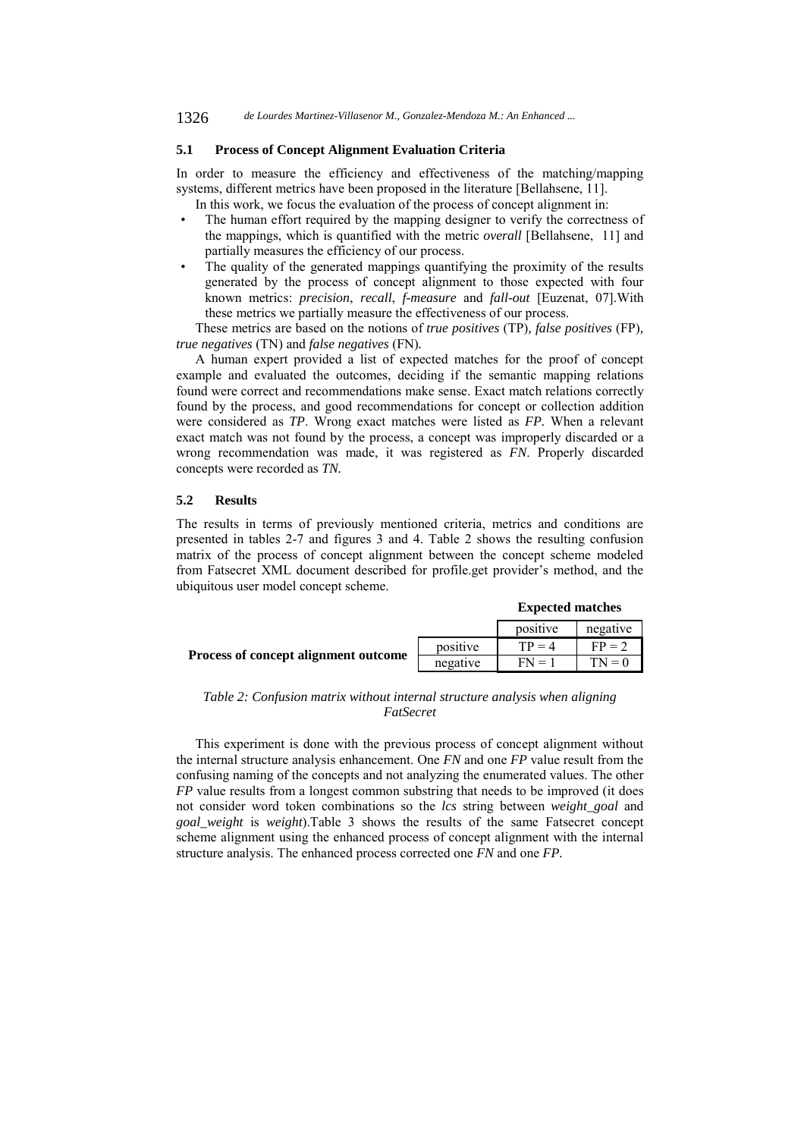### **5.1 Process of Concept Alignment Evaluation Criteria**

In order to measure the efficiency and effectiveness of the matching/mapping systems, different metrics have been proposed in the literature [Bellahsene, 11]. In this work, we focus the evaluation of the process of concept alignment in:

- 
- The human effort required by the mapping designer to verify the correctness of the mappings, which is quantified with the metric *overall* [Bellahsene, 11] and partially measures the efficiency of our process.
- The quality of the generated mappings quantifying the proximity of the results generated by the process of concept alignment to those expected with four known metrics: *precision*, *recall*, *f-measure* and *fall-out* [Euzenat, 07].With these metrics we partially measure the effectiveness of our process.

These metrics are based on the notions of *true positives* (TP)*, false positives* (FP)*, true negatives* (TN) and *false negatives* (FN)*.* 

A human expert provided a list of expected matches for the proof of concept example and evaluated the outcomes, deciding if the semantic mapping relations found were correct and recommendations make sense. Exact match relations correctly found by the process, and good recommendations for concept or collection addition were considered as *TP*. Wrong exact matches were listed as *FP.* When a relevant exact match was not found by the process, a concept was improperly discarded or a wrong recommendation was made, it was registered as *FN*. Properly discarded concepts were recorded as *TN.* 

#### **5.2 Results**

The results in terms of previously mentioned criteria, metrics and conditions are presented in tables 2-7 and figures 3 and 4. Table 2 shows the resulting confusion matrix of the process of concept alignment between the concept scheme modeled from Fatsecret XML document described for profile.get provider's method, and the ubiquitous user model concept scheme.

|  | <b>Expected matches</b> |
|--|-------------------------|
|--|-------------------------|

|                                      |          | positive | negative |
|--------------------------------------|----------|----------|----------|
|                                      | positive | $TP = 4$ | $FP = 2$ |
| Process of concept alignment outcome | negative | $FN = 1$ | $TN = 0$ |

### *Table 2: Confusion matrix without internal structure analysis when aligning FatSecret*

This experiment is done with the previous process of concept alignment without the internal structure analysis enhancement. One *FN* and one *FP* value result from the confusing naming of the concepts and not analyzing the enumerated values. The other *FP* value results from a longest common substring that needs to be improved (it does not consider word token combinations so the *lcs* string between *weight\_goal* and *goal\_weight* is *weight*).Table 3 shows the results of the same Fatsecret concept scheme alignment using the enhanced process of concept alignment with the internal structure analysis. The enhanced process corrected one *FN* and one *FP.*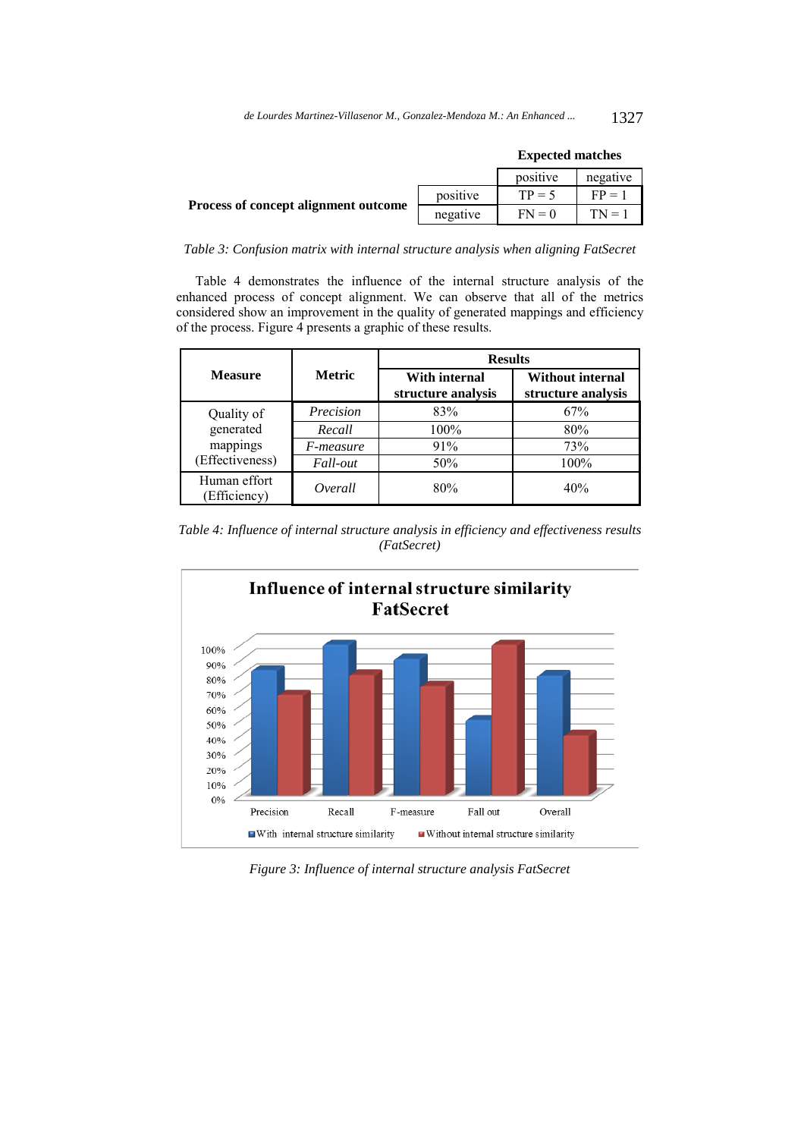|                                      |          | <b>Expected matches</b> |          |  |
|--------------------------------------|----------|-------------------------|----------|--|
|                                      |          | positive                | negative |  |
|                                      | positive | $TP = 5$                | $FP = 1$ |  |
| Process of concept alignment outcome | negative | $FN = 0$                | $TN = 1$ |  |

### *Table 3: Confusion matrix with internal structure analysis when aligning FatSecret*

Table 4 demonstrates the influence of the internal structure analysis of the enhanced process of concept alignment. We can observe that all of the metrics considered show an improvement in the quality of generated mappings and efficiency of the process. Figure 4 presents a graphic of these results.

|                              |                  | <b>Results</b>                             |                                               |  |
|------------------------------|------------------|--------------------------------------------|-----------------------------------------------|--|
| <b>Measure</b>               | <b>Metric</b>    | <b>With internal</b><br>structure analysis | <b>Without internal</b><br>structure analysis |  |
| Quality of                   | Precision        | 83%                                        | 67%                                           |  |
| generated                    | Recall           | 100%                                       | 80%                                           |  |
| mappings<br>(Effectiveness)  | <i>F-measure</i> | 91%                                        | 73%                                           |  |
|                              | Fall-out         | 50%                                        | 100%                                          |  |
| Human effort<br>(Efficiency) | Overall          | 80%                                        | 40%                                           |  |

*Table 4: Influence of internal structure analysis in efficiency and effectiveness results (FatSecret)* 



*Figure 3: Influence of internal structure analysis FatSecret*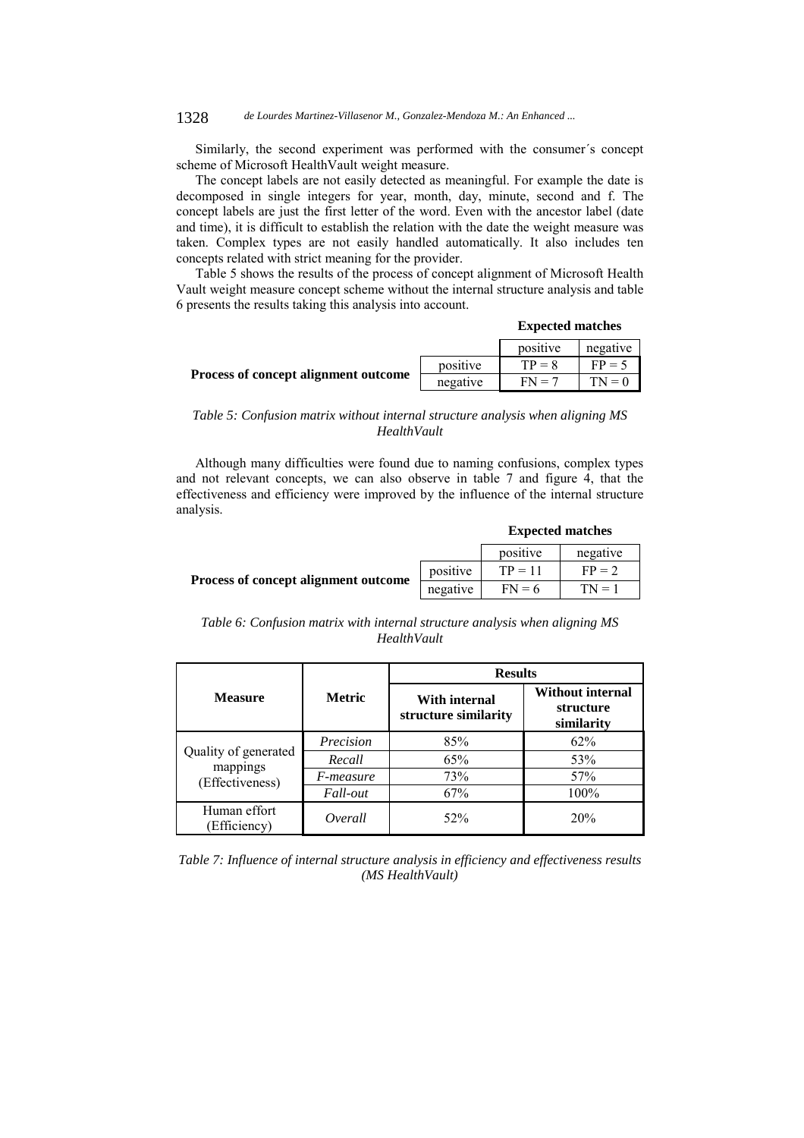Similarly, the second experiment was performed with the consumer´s concept scheme of Microsoft HealthVault weight measure.

The concept labels are not easily detected as meaningful. For example the date is decomposed in single integers for year, month, day, minute, second and f. The concept labels are just the first letter of the word. Even with the ancestor label (date and time), it is difficult to establish the relation with the date the weight measure was taken. Complex types are not easily handled automatically. It also includes ten concepts related with strict meaning for the provider.

Table 5 shows the results of the process of concept alignment of Microsoft Health Vault weight measure concept scheme without the internal structure analysis and table 6 presents the results taking this analysis into account.

|                                      |          | LAPLULU MARTIN |          |  |
|--------------------------------------|----------|----------------|----------|--|
|                                      |          | positive       | negative |  |
|                                      | positive | $TP = 8$       | $FP = 5$ |  |
| Process of concept alignment outcome | negative | $FN = 7$       | $TN = 0$ |  |

### *Table 5: Confusion matrix without internal structure analysis when aligning MS HealthVault*

Although many difficulties were found due to naming confusions, complex types and not relevant concepts, we can also observe in table 7 and figure 4, that the effectiveness and efficiency were improved by the influence of the internal structure analysis.

#### **Expected matches**

**Expected matches** 

|                                      |            | positive  | negative |
|--------------------------------------|------------|-----------|----------|
|                                      | positive   | $TP = 11$ | $FP = 2$ |
| Process of concept alignment outcome | negative l | $FN = 6$  | $TN = 1$ |

|             | Table 6: Confusion matrix with internal structure analysis when aligning MS |  |
|-------------|-----------------------------------------------------------------------------|--|
| HealthVault |                                                                             |  |

|                                                     |                 | <b>Results</b>                        |                                                    |  |
|-----------------------------------------------------|-----------------|---------------------------------------|----------------------------------------------------|--|
| <b>Measure</b>                                      | <b>Metric</b>   | With internal<br>structure similarity | <b>Without internal</b><br>structure<br>similarity |  |
| Quality of generated<br>mappings<br>(Effectiveness) | Precision       | 85%                                   | 62%                                                |  |
|                                                     | Recall          | 65%                                   | 53%                                                |  |
|                                                     | F-measure       | 73%                                   | 57%                                                |  |
|                                                     | <i>Fall-out</i> | 67%                                   | 100%                                               |  |
| Human effort<br>Efficiency)                         | Overall         | 52%                                   | 20%                                                |  |

*Table 7: Influence of internal structure analysis in efficiency and effectiveness results (MS HealthVault)*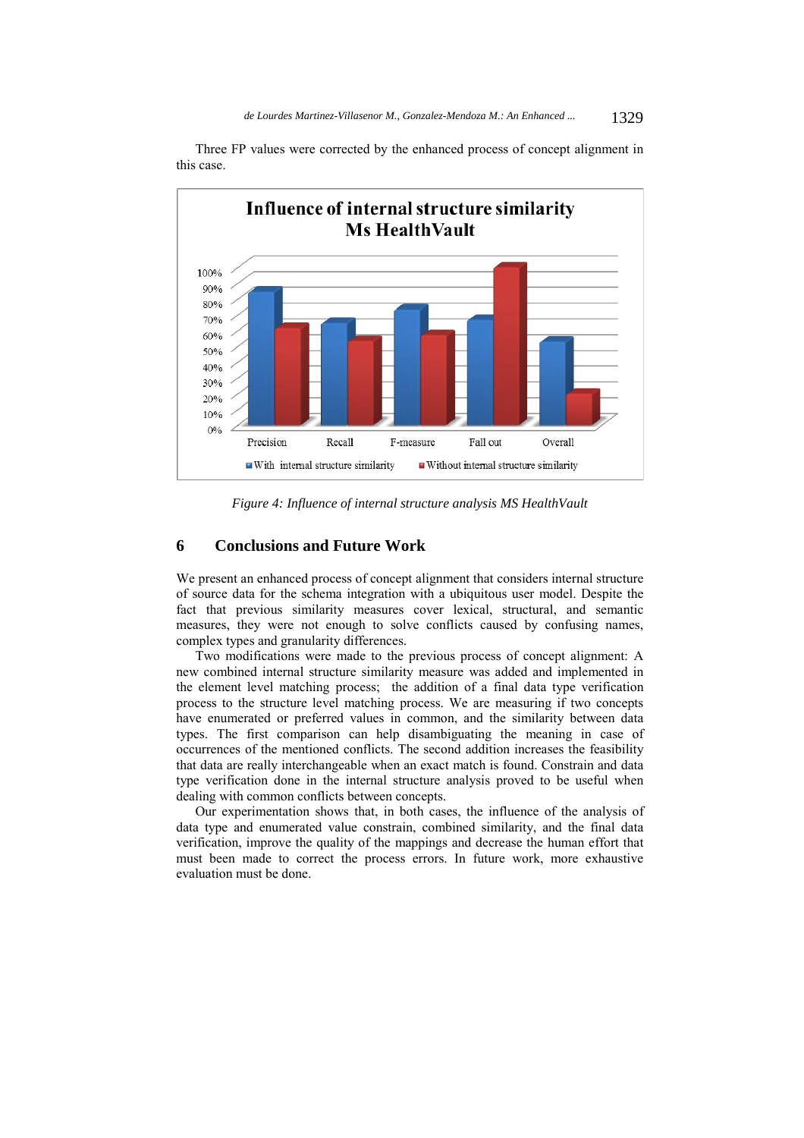

Three FP values were corrected by the enhanced process of concept alignment in this case.

*Figure 4: Influence of internal structure analysis MS HealthVault* 

# **6 Conclusions and Future Work**

We present an enhanced process of concept alignment that considers internal structure of source data for the schema integration with a ubiquitous user model. Despite the fact that previous similarity measures cover lexical, structural, and semantic measures, they were not enough to solve conflicts caused by confusing names, complex types and granularity differences.

Two modifications were made to the previous process of concept alignment: A new combined internal structure similarity measure was added and implemented in the element level matching process; the addition of a final data type verification process to the structure level matching process. We are measuring if two concepts have enumerated or preferred values in common, and the similarity between data types. The first comparison can help disambiguating the meaning in case of occurrences of the mentioned conflicts. The second addition increases the feasibility that data are really interchangeable when an exact match is found. Constrain and data type verification done in the internal structure analysis proved to be useful when dealing with common conflicts between concepts.

Our experimentation shows that, in both cases, the influence of the analysis of data type and enumerated value constrain, combined similarity, and the final data verification, improve the quality of the mappings and decrease the human effort that must been made to correct the process errors. In future work, more exhaustive evaluation must be done.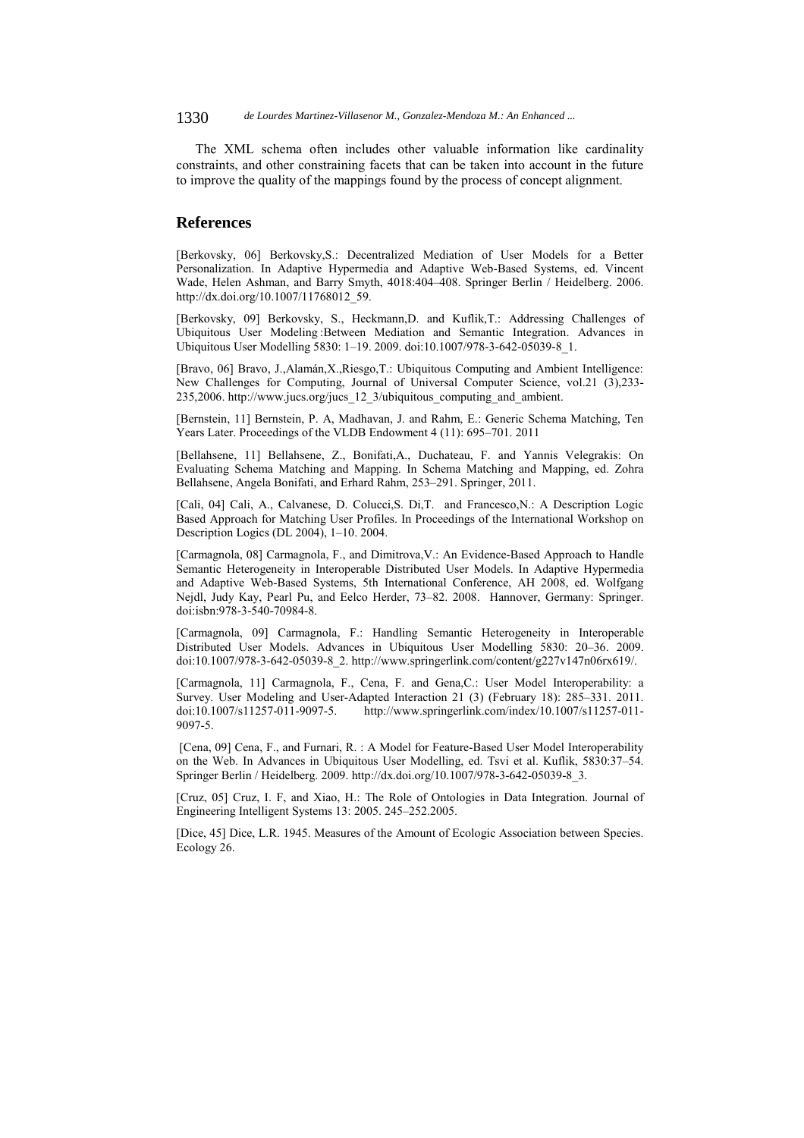The XML schema often includes other valuable information like cardinality constraints, and other constraining facets that can be taken into account in the future to improve the quality of the mappings found by the process of concept alignment.

### **References**

[Berkovsky, 06] Berkovsky,S.: Decentralized Mediation of User Models for a Better Personalization. In Adaptive Hypermedia and Adaptive Web-Based Systems, ed. Vincent Wade, Helen Ashman, and Barry Smyth, 4018:404–408. Springer Berlin / Heidelberg. 2006. http://dx.doi.org/10.1007/11768012\_59.

[Berkovsky, 09] Berkovsky, S., Heckmann,D. and Kuflik,T.: Addressing Challenges of Ubiquitous User Modeling :Between Mediation and Semantic Integration. Advances in Ubiquitous User Modelling 5830: 1–19. 2009. doi:10.1007/978-3-642-05039-8\_1.

[Bravo, 06] Bravo, J.,Alamán,X.,Riesgo,T.: Ubiquitous Computing and Ambient Intelligence: New Challenges for Computing, Journal of Universal Computer Science, vol.21 (3),233- 235,2006. http://www.jucs.org/jucs\_12\_3/ubiquitous\_computing\_and\_ambient.

[Bernstein, 11] Bernstein, P. A, Madhavan, J. and Rahm, E.: Generic Schema Matching, Ten Years Later. Proceedings of the VLDB Endowment 4 (11): 695–701. 2011

[Bellahsene, 11] Bellahsene, Z., Bonifati,A., Duchateau, F. and Yannis Velegrakis: On Evaluating Schema Matching and Mapping. In Schema Matching and Mapping, ed. Zohra Bellahsene, Angela Bonifati, and Erhard Rahm, 253–291. Springer, 2011.

[Cali, 04] Cali, A., Calvanese, D. Colucci,S. Di,T. and Francesco,N.: A Description Logic Based Approach for Matching User Profiles. In Proceedings of the International Workshop on Description Logics (DL 2004), 1–10. 2004.

[Carmagnola, 08] Carmagnola, F., and Dimitrova,V.: An Evidence-Based Approach to Handle Semantic Heterogeneity in Interoperable Distributed User Models. In Adaptive Hypermedia and Adaptive Web-Based Systems, 5th International Conference, AH 2008, ed. Wolfgang Nejdl, Judy Kay, Pearl Pu, and Eelco Herder, 73–82. 2008. Hannover, Germany: Springer. doi:isbn:978-3-540-70984-8.

[Carmagnola, 09] Carmagnola, F.: Handling Semantic Heterogeneity in Interoperable Distributed User Models. Advances in Ubiquitous User Modelling 5830: 20–36. 2009. doi:10.1007/978-3-642-05039-8\_2. http://www.springerlink.com/content/g227v147n06rx619/.

[Carmagnola, 11] Carmagnola, F., Cena, F. and Gena,C.: User Model Interoperability: a Survey. User Modeling and User-Adapted Interaction 21 (3) (February 18): 285–331. 2011. doi:10.1007/s11257-011-9097-5. http://www.springerlink.com/index/10.1007/s11257-011- 9097-5.

 [Cena, 09] Cena, F., and Furnari, R. : A Model for Feature-Based User Model Interoperability on the Web. In Advances in Ubiquitous User Modelling, ed. Tsvi et al. Kuflik, 5830:37–54. Springer Berlin / Heidelberg. 2009. http://dx.doi.org/10.1007/978-3-642-05039-8\_3.

[Cruz, 05] Cruz, I. F, and Xiao, H.: The Role of Ontologies in Data Integration. Journal of Engineering Intelligent Systems 13: 2005. 245–252.2005.

[Dice, 45] Dice, L.R. 1945. Measures of the Amount of Ecologic Association between Species. Ecology 26.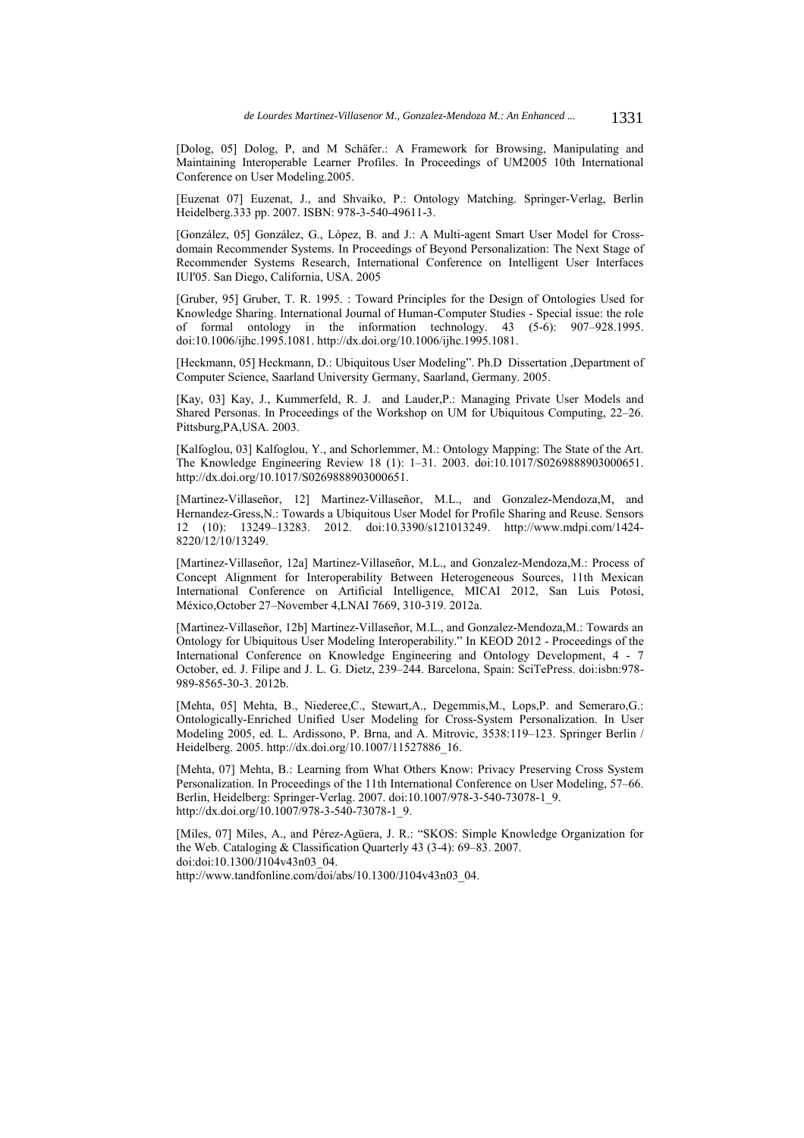[Dolog, 05] Dolog, P, and M Schäfer.: A Framework for Browsing, Manipulating and Maintaining Interoperable Learner Profiles. In Proceedings of UM2005 10th International Conference on User Modeling.2005.

[Euzenat 07] Euzenat, J., and Shvaiko, P.: Ontology Matching. Springer-Verlag, Berlin Heidelberg.333 pp. 2007. ISBN: 978-3-540-49611-3.

[González, 05] González, G., López, B. and J.: A Multi-agent Smart User Model for Crossdomain Recommender Systems. In Proceedings of Beyond Personalization: The Next Stage of Recommender Systems Research, International Conference on Intelligent User Interfaces IUI'05. San Diego, California, USA. 2005

[Gruber, 95] Gruber, T. R. 1995. : Toward Principles for the Design of Ontologies Used for Knowledge Sharing. International Journal of Human-Computer Studies - Special issue: the role of formal ontology in the information technology. 43 (5-6): 907–928.1995. doi:10.1006/ijhc.1995.1081. http://dx.doi.org/10.1006/ijhc.1995.1081.

[Heckmann, 05] Heckmann, D.: Ubiquitous User Modeling". Ph.D Dissertation ,Department of Computer Science, Saarland University Germany, Saarland, Germany. 2005.

[Kay, 03] Kay, J., Kummerfeld, R. J. and Lauder,P.: Managing Private User Models and Shared Personas. In Proceedings of the Workshop on UM for Ubiquitous Computing, 22–26. Pittsburg,PA,USA. 2003.

[Kalfoglou, 03] Kalfoglou, Y., and Schorlemmer, M.: Ontology Mapping: The State of the Art. The Knowledge Engineering Review 18 (1): 1–31. 2003. doi:10.1017/S0269888903000651. http://dx.doi.org/10.1017/S0269888903000651.

[Martinez-Villaseñor, 12] Martinez-Villaseñor, M.L., and Gonzalez-Mendoza,M, and Hernandez-Gress,N.: Towards a Ubiquitous User Model for Profile Sharing and Reuse. Sensors 12 (10): 13249–13283. 2012. doi:10.3390/s121013249. http://www.mdpi.com/1424- 8220/12/10/13249.

[Martinez-Villaseñor, 12a] Martinez-Villaseñor, M.L., and Gonzalez-Mendoza,M.: Process of Concept Alignment for Interoperability Between Heterogeneous Sources, 11th Mexican International Conference on Artificial Intelligence, MICAI 2012, San Luis Potosí, México,October 27–November 4,LNAI 7669, 310-319. 2012a.

[Martinez-Villaseñor, 12b] Martinez-Villaseñor, M.L., and Gonzalez-Mendoza,M.: Towards an Ontology for Ubiquitous User Modeling Interoperability." In KEOD 2012 - Proceedings of the International Conference on Knowledge Engineering and Ontology Development, 4 - 7 October, ed. J. Filipe and J. L. G. Dietz, 239–244. Barcelona, Spain: SciTePress. doi:isbn:978- 989-8565-30-3. 2012b.

[Mehta, 05] Mehta, B., Niederee, C., Stewart, A., Degemmis, M., Lops, P. and Semeraro, G.: Ontologically-Enriched Unified User Modeling for Cross-System Personalization. In User Modeling 2005, ed. L. Ardissono, P. Brna, and A. Mitrovic, 3538:119–123. Springer Berlin / Heidelberg. 2005. http://dx.doi.org/10.1007/11527886\_16.

[Mehta, 07] Mehta, B.: Learning from What Others Know: Privacy Preserving Cross System Personalization. In Proceedings of the 11th International Conference on User Modeling, 57–66. Berlin, Heidelberg: Springer-Verlag. 2007. doi:10.1007/978-3-540-73078-1\_9. http://dx.doi.org/10.1007/978-3-540-73078-1\_9.

[Miles, 07] Miles, A., and Pérez-Agüera, J. R.: "SKOS: Simple Knowledge Organization for the Web. Cataloging & Classification Quarterly 43 (3-4): 69–83. 2007. doi:doi:10.1300/J104v43n03\_04.

http://www.tandfonline.com/doi/abs/10.1300/J104v43n03\_04.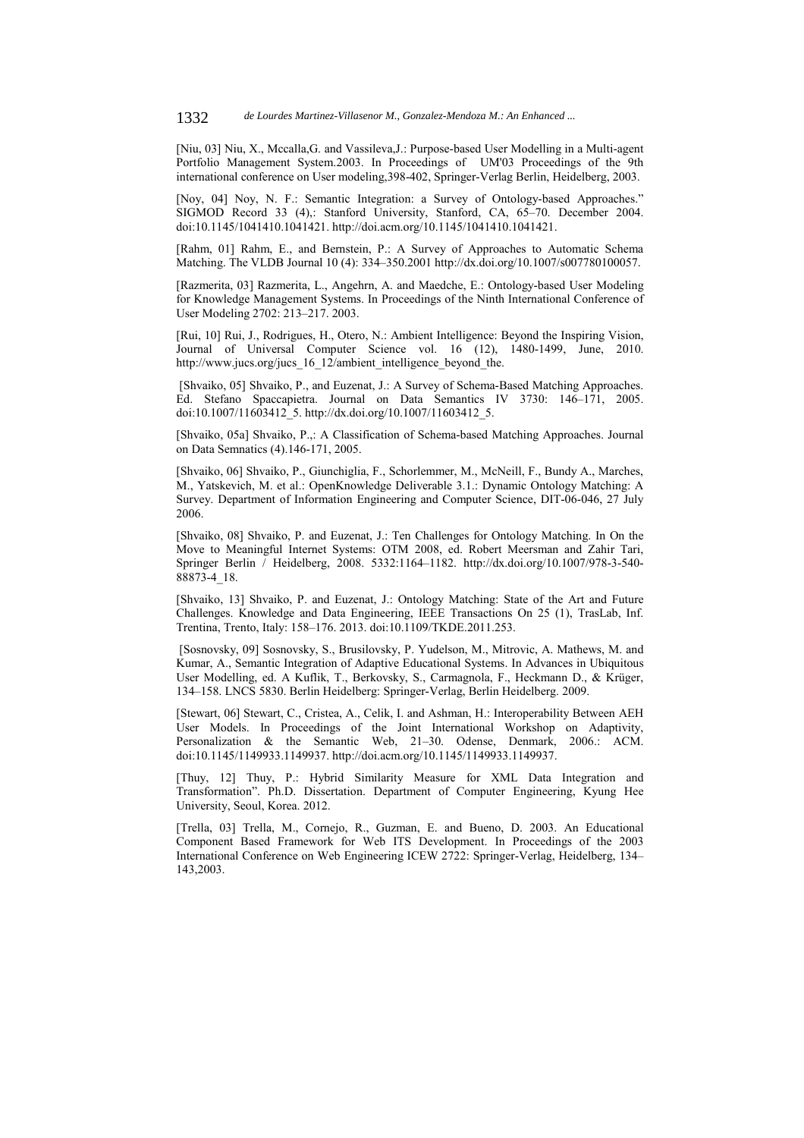[Niu, 03] Niu, X., Mccalla,G. and Vassileva,J.: Purpose-based User Modelling in a Multi-agent Portfolio Management System.2003. In Proceedings of UM'03 Proceedings of the 9th international conference on User modeling,398-402, Springer-Verlag Berlin, Heidelberg, 2003.

[Noy, 04] Noy, N. F.: Semantic Integration: a Survey of Ontology-based Approaches." SIGMOD Record 33 (4),: Stanford University, Stanford, CA, 65–70. December 2004. doi:10.1145/1041410.1041421. http://doi.acm.org/10.1145/1041410.1041421.

[Rahm, 01] Rahm, E., and Bernstein, P.: A Survey of Approaches to Automatic Schema Matching. The VLDB Journal 10 (4): 334–350.2001 http://dx.doi.org/10.1007/s007780100057.

[Razmerita, 03] Razmerita, L., Angehrn, A. and Maedche, E.: Ontology-based User Modeling for Knowledge Management Systems. In Proceedings of the Ninth International Conference of User Modeling 2702: 213–217. 2003.

[Rui, 10] Rui, J., Rodrigues, H., Otero, N.: Ambient Intelligence: Beyond the Inspiring Vision, Journal of Universal Computer Science vol. 16 (12), 1480-1499, June, 2010. http://www.jucs.org/jucs 16\_12/ambient\_intelligence\_beyond\_the.

 [Shvaiko, 05] Shvaiko, P., and Euzenat, J.: A Survey of Schema-Based Matching Approaches. Ed. Stefano Spaccapietra. Journal on Data Semantics IV 3730: 146–171, 2005. doi:10.1007/11603412\_5. http://dx.doi.org/10.1007/11603412\_5.

[Shvaiko, 05a] Shvaiko, P.,: A Classification of Schema-based Matching Approaches. Journal on Data Semnatics (4).146-171, 2005.

[Shvaiko, 06] Shvaiko, P., Giunchiglia, F., Schorlemmer, M., McNeill, F., Bundy A., Marches, M., Yatskevich, M. et al.: OpenKnowledge Deliverable 3.1.: Dynamic Ontology Matching: A Survey. Department of Information Engineering and Computer Science, DIT-06-046, 27 July 2006.

[Shvaiko, 08] Shvaiko, P. and Euzenat, J.: Ten Challenges for Ontology Matching. In On the Move to Meaningful Internet Systems: OTM 2008, ed. Robert Meersman and Zahir Tari, Springer Berlin / Heidelberg, 2008. 5332:1164–1182. http://dx.doi.org/10.1007/978-3-540- 88873-4\_18.

[Shvaiko, 13] Shvaiko, P. and Euzenat, J.: Ontology Matching: State of the Art and Future Challenges. Knowledge and Data Engineering, IEEE Transactions On 25 (1), TrasLab, Inf. Trentina, Trento, Italy: 158–176. 2013. doi:10.1109/TKDE.2011.253.

 [Sosnovsky, 09] Sosnovsky, S., Brusilovsky, P. Yudelson, M., Mitrovic, A. Mathews, M. and Kumar, A., Semantic Integration of Adaptive Educational Systems. In Advances in Ubiquitous User Modelling, ed. A Kuflik, T., Berkovsky, S., Carmagnola, F., Heckmann D., & Krüger, 134–158. LNCS 5830. Berlin Heidelberg: Springer-Verlag, Berlin Heidelberg. 2009.

[Stewart, 06] Stewart, C., Cristea, A., Celik, I. and Ashman, H.: Interoperability Between AEH User Models. In Proceedings of the Joint International Workshop on Adaptivity, Personalization & the Semantic Web, 21–30. Odense, Denmark, 2006.: ACM. doi:10.1145/1149933.1149937. http://doi.acm.org/10.1145/1149933.1149937.

[Thuy, 12] Thuy, P.: Hybrid Similarity Measure for XML Data Integration and Transformation". Ph.D. Dissertation. Department of Computer Engineering, Kyung Hee University, Seoul, Korea. 2012.

[Trella, 03] Trella, M., Cornejo, R., Guzman, E. and Bueno, D. 2003. An Educational Component Based Framework for Web ITS Development. In Proceedings of the 2003 International Conference on Web Engineering ICEW 2722: Springer-Verlag, Heidelberg, 134– 143,2003.